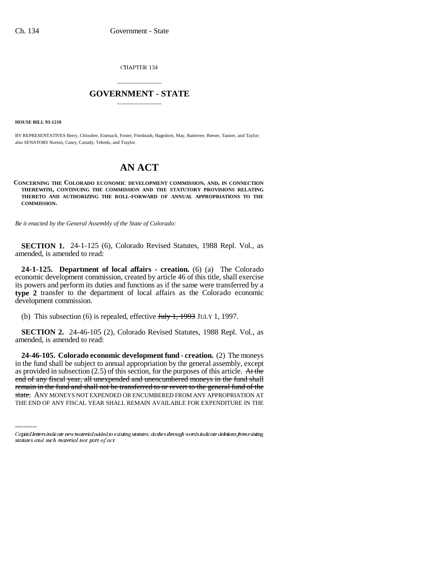CHAPTER 134

## \_\_\_\_\_\_\_\_\_\_\_\_\_\_\_ **GOVERNMENT - STATE** \_\_\_\_\_\_\_\_\_\_\_\_\_\_\_

**HOUSE BILL 93-1210**

BY REPRESENTATIVES Berry, Chlouber, Eisenach, Foster, Friednash, Hagedorn, May, Ratterree, Reeser, Tanner, and Taylor; also SENATORS Norton, Casey, Cassidy, Tebedo, and Traylor.

## **AN ACT**

**CONCERNING THE COLORADO ECONOMIC DEVELOPMENT COMMISSION, AND, IN CONNECTION THEREWITH, CONTINUING THE COMMISSION AND THE STATUTORY PROVISIONS RELATING THERETO AND AUTHORIZING THE ROLL-FORWARD OF ANNUAL APPROPRIATIONS TO THE COMMISSION.**

*Be it enacted by the General Assembly of the State of Colorado:*

**SECTION 1.** 24-1-125 (6), Colorado Revised Statutes, 1988 Repl. Vol., as amended, is amended to read:

**24-1-125. Department of local affairs - creation.** (6) (a) The Colorado economic development commission, created by article 46 of this title, shall exercise its powers and perform its duties and functions as if the same were transferred by a **type 2** transfer to the department of local affairs as the Colorado economic development commission.

(b) This subsection (6) is repealed, effective  $J_{\text{t}}$   $J_{\text{t}}$   $J_{\text{t}}$   $J_{\text{y}}$   $J_{\text{ULY}}$  1, 1997.

**SECTION 2.** 24-46-105 (2), Colorado Revised Statutes, 1988 Repl. Vol., as amended, is amended to read:

as provided in subsection (2.5) of this section, for the purposes of this article. At the **24-46-105. Colorado economic development fund - creation.** (2) The moneys in the fund shall be subject to annual appropriation by the general assembly, except end of any fiscal year, all unexpended and unencumbered moneys in the fund shall remain in the fund and shall not be transferred to or revert to the general fund of the state. ANY MONEYS NOT EXPENDED OR ENCUMBERED FROM ANY APPROPRIATION AT THE END OF ANY FISCAL YEAR SHALL REMAIN AVAILABLE FOR EXPENDITURE IN THE

Capital letters indicate new material added to existing statutes; dashes through words indicate deletions from existing statutes and such material not part of act.